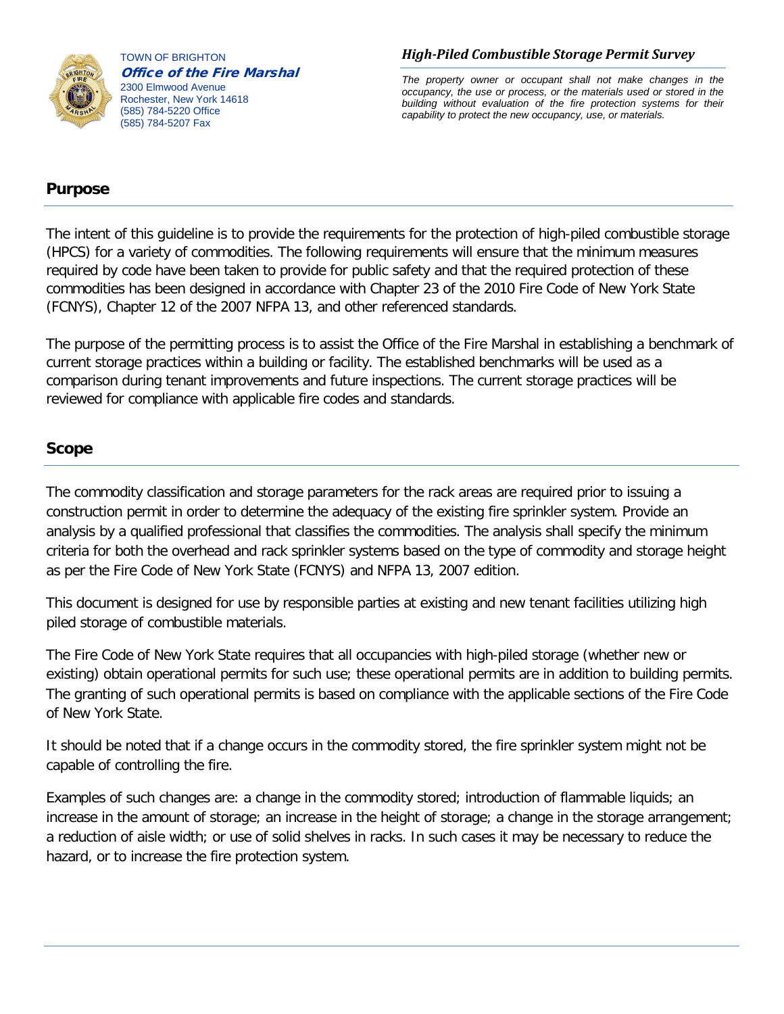

TOWN OF BRIGHTON Office of the Fire Marshal 2300 Elmwood Avenue Rochester, New York 14618 (585) 784-5220 Office (585) 784-5207 Fax

#### *High-Piled Combustible Storage Permit Survey*

*The property owner or occupant shall not make changes in the occupancy, the use or process, or the materials used or stored in the building without evaluation of the fire protection systems for their capability to protect the new occupancy, use, or materials.* 

## **Purpose**

The intent of this guideline is to provide the requirements for the protection of high-piled combustible storage (HPCS) for a variety of commodities. The following requirements will ensure that the minimum measures required by code have been taken to provide for public safety and that the required protection of these commodities has been designed in accordance with Chapter 23 of the 2010 Fire Code of New York State (FCNYS), Chapter 12 of the 2007 NFPA 13, and other referenced standards.

The purpose of the permitting process is to assist the Office of the Fire Marshal in establishing a benchmark of current storage practices within a building or facility. The established benchmarks will be used as a comparison during tenant improvements and future inspections. The current storage practices will be reviewed for compliance with applicable fire codes and standards.

## **Scope**

The commodity classification and storage parameters for the rack areas are required prior to issuing a construction permit in order to determine the adequacy of the existing fire sprinkler system. Provide an analysis by a qualified professional that classifies the commodities. The analysis shall specify the minimum criteria for both the overhead and rack sprinkler systems based on the type of commodity and storage height as per the Fire Code of New York State (FCNYS) and NFPA 13, 2007 edition.

This document is designed for use by responsible parties at existing and new tenant facilities utilizing high piled storage of combustible materials.

The Fire Code of New York State requires that all occupancies with high-piled storage (whether new or existing) obtain operational permits for such use; these operational permits are in addition to building permits. The granting of such operational permits is based on compliance with the applicable sections of the Fire Code of New York State.

It should be noted that if a change occurs in the commodity stored, the fire sprinkler system might not be capable of controlling the fire.

Examples of such changes are: a change in the commodity stored; introduction of flammable liquids; an increase in the amount of storage; an increase in the height of storage; a change in the storage arrangement; a reduction of aisle width; or use of solid shelves in racks. In such cases it may be necessary to reduce the hazard, or to increase the fire protection system.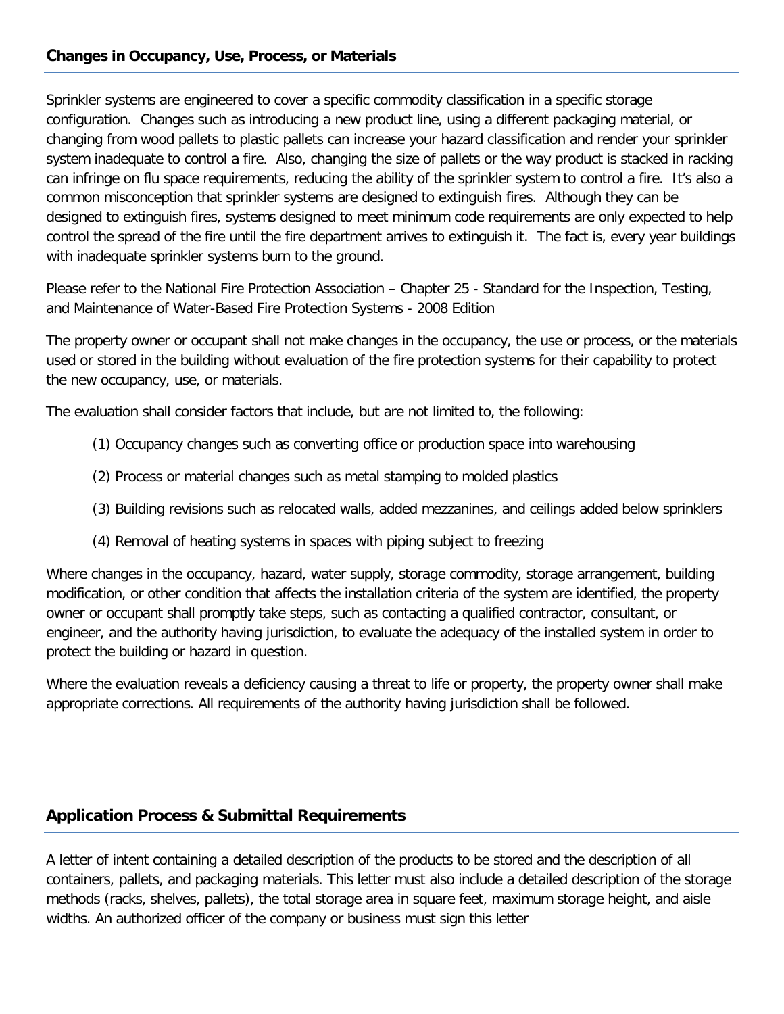## **Changes in Occupancy, Use, Process, or Materials**

Sprinkler systems are engineered to cover a specific commodity classification in a specific storage configuration. Changes such as introducing a new product line, using a different packaging material, or changing from wood pallets to plastic pallets can increase your hazard classification and render your sprinkler system inadequate to control a fire. Also, changing the size of pallets or the way product is stacked in racking can infringe on flu space requirements, reducing the ability of the sprinkler system to control a fire. It's also a common misconception that sprinkler systems are designed to extinguish fires. Although they can be designed to extinguish fires, systems designed to meet minimum code requirements are only expected to help control the spread of the fire until the fire department arrives to extinguish it. The fact is, every year buildings with inadequate sprinkler systems burn to the ground.

Please refer to the National Fire Protection Association – Chapter 25 - Standard for the Inspection, Testing, and Maintenance of Water-Based Fire Protection Systems - 2008 Edition

The property owner or occupant shall not make changes in the occupancy, the use or process, or the materials used or stored in the building without evaluation of the fire protection systems for their capability to protect the new occupancy, use, or materials.

The evaluation shall consider factors that include, but are not limited to, the following:

- (1) Occupancy changes such as converting office or production space into warehousing
- (2) Process or material changes such as metal stamping to molded plastics
- (3) Building revisions such as relocated walls, added mezzanines, and ceilings added below sprinklers
- (4) Removal of heating systems in spaces with piping subject to freezing

Where changes in the occupancy, hazard, water supply, storage commodity, storage arrangement, building modification, or other condition that affects the installation criteria of the system are identified, the property owner or occupant shall promptly take steps, such as contacting a qualified contractor, consultant, or engineer, and the authority having jurisdiction, to evaluate the adequacy of the installed system in order to protect the building or hazard in question.

Where the evaluation reveals a deficiency causing a threat to life or property, the property owner shall make appropriate corrections. All requirements of the authority having jurisdiction shall be followed.

## **Application Process & Submittal Requirements**

A letter of intent containing a detailed description of the products to be stored and the description of all containers, pallets, and packaging materials. This letter must also include a detailed description of the storage methods (racks, shelves, pallets), the total storage area in square feet, maximum storage height, and aisle widths. An authorized officer of the company or business must sign this letter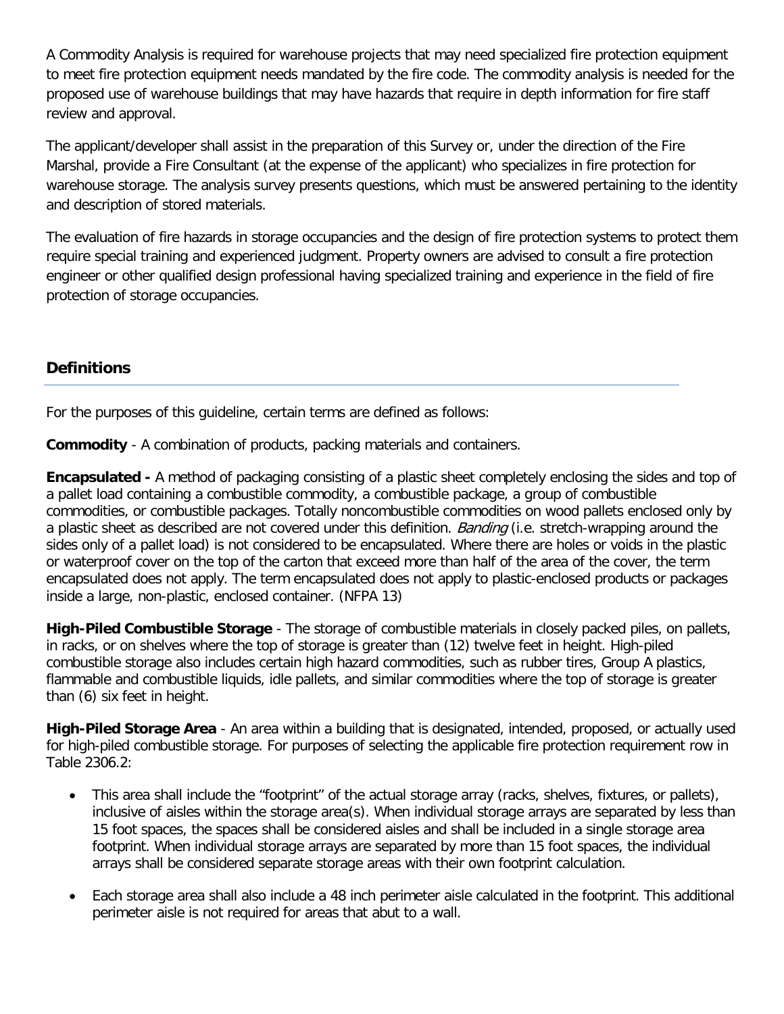A Commodity Analysis is required for warehouse projects that may need specialized fire protection equipment to meet fire protection equipment needs mandated by the fire code. The commodity analysis is needed for the proposed use of warehouse buildings that may have hazards that require in depth information for fire staff review and approval.

The applicant/developer shall assist in the preparation of this Survey or, under the direction of the Fire Marshal, provide a Fire Consultant (at the expense of the applicant) who specializes in fire protection for warehouse storage. The analysis survey presents questions, which must be answered pertaining to the identity and description of stored materials.

The evaluation of fire hazards in storage occupancies and the design of fire protection systems to protect them require special training and experienced judgment. Property owners are advised to consult a fire protection engineer or other qualified design professional having specialized training and experience in the field of fire protection of storage occupancies.

# **Definitions**

For the purposes of this guideline, certain terms are defined as follows:

**Commodity** - A combination of products, packing materials and containers.

**Encapsulated -** A method of packaging consisting of a plastic sheet completely enclosing the sides and top of a pallet load containing a combustible commodity, a combustible package, a group of combustible commodities, or combustible packages. Totally noncombustible commodities on wood pallets enclosed only by a plastic sheet as described are not covered under this definition. Banding (i.e. stretch-wrapping around the sides only of a pallet load) is not considered to be encapsulated. Where there are holes or voids in the plastic or waterproof cover on the top of the carton that exceed more than half of the area of the cover, the term encapsulated does not apply. The term encapsulated does not apply to plastic-enclosed products or packages inside a large, non-plastic, enclosed container. (NFPA 13)

**High-Piled Combustible Storage** - The storage of combustible materials in closely packed piles, on pallets, in racks, or on shelves where the top of storage is greater than (12) twelve feet in height. High-piled combustible storage also includes certain high hazard commodities, such as rubber tires, Group A plastics, flammable and combustible liquids, idle pallets, and similar commodities where the top of storage is greater than (6) six feet in height.

**High-Piled Storage Area** - An area within a building that is designated, intended, proposed, or actually used for high-piled combustible storage. For purposes of selecting the applicable fire protection requirement row in Table 2306.2:

- This area shall include the "footprint" of the actual storage array (racks, shelves, fixtures, or pallets), inclusive of aisles within the storage area(s). When individual storage arrays are separated by less than 15 foot spaces, the spaces shall be considered aisles and shall be included in a single storage area footprint. When individual storage arrays are separated by more than 15 foot spaces, the individual arrays shall be considered separate storage areas with their own footprint calculation.
- Each storage area shall also include a 48 inch perimeter aisle calculated in the footprint. This additional perimeter aisle is not required for areas that abut to a wall.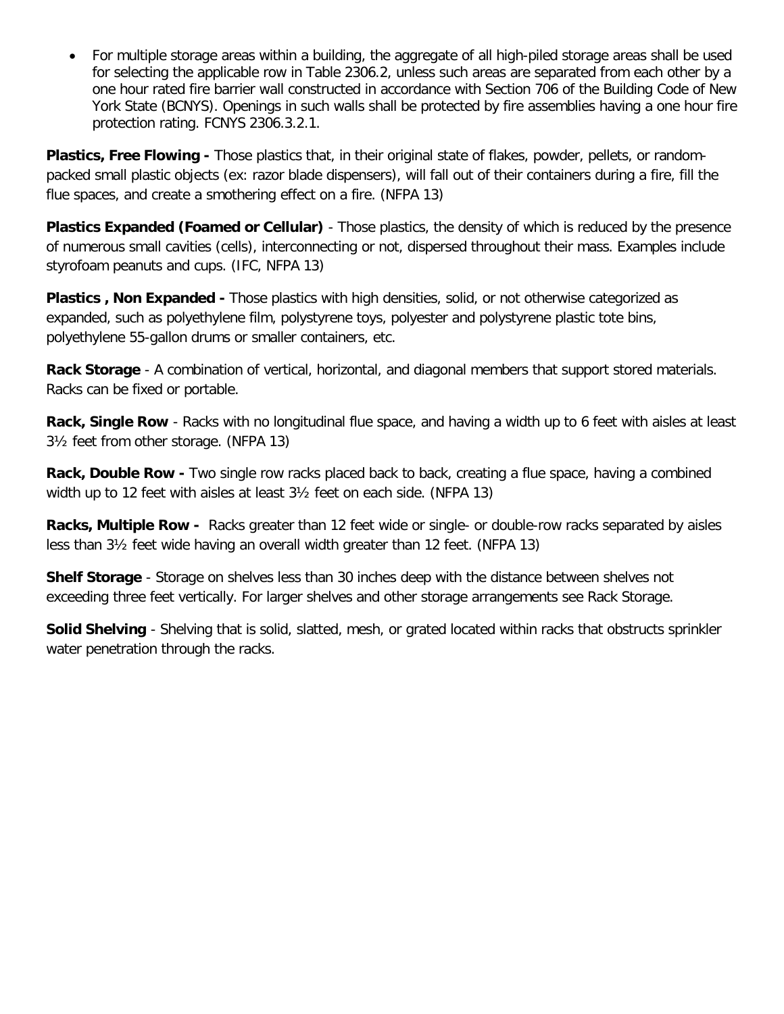• For multiple storage areas within a building, the aggregate of all high-piled storage areas shall be used for selecting the applicable row in Table 2306.2, unless such areas are separated from each other by a one hour rated fire barrier wall constructed in accordance with Section 706 of the Building Code of New York State (BCNYS). Openings in such walls shall be protected by fire assemblies having a one hour fire protection rating. FCNYS 2306.3.2.1.

**Plastics, Free Flowing -** Those plastics that, in their original state of flakes, powder, pellets, or randompacked small plastic objects (ex: razor blade dispensers), will fall out of their containers during a fire, fill the flue spaces, and create a smothering effect on a fire. (NFPA 13)

**Plastics Expanded (Foamed or Cellular)** - Those plastics, the density of which is reduced by the presence of numerous small cavities (cells), interconnecting or not, dispersed throughout their mass. Examples include styrofoam peanuts and cups. (IFC, NFPA 13)

**Plastics , Non Expanded -** Those plastics with high densities, solid, or not otherwise categorized as expanded, such as polyethylene film, polystyrene toys, polyester and polystyrene plastic tote bins, polyethylene 55-gallon drums or smaller containers, etc.

**Rack Storage** - A combination of vertical, horizontal, and diagonal members that support stored materials. Racks can be fixed or portable.

**Rack, Single Row** - Racks with no longitudinal flue space, and having a width up to 6 feet with aisles at least 3½ feet from other storage. (NFPA 13)

**Rack, Double Row -** Two single row racks placed back to back, creating a flue space, having a combined width up to 12 feet with aisles at least 3½ feet on each side. (NFPA 13)

**Racks, Multiple Row -** Racks greater than 12 feet wide or single- or double-row racks separated by aisles less than 3½ feet wide having an overall width greater than 12 feet. (NFPA 13)

**Shelf Storage** - Storage on shelves less than 30 inches deep with the distance between shelves not exceeding three feet vertically. For larger shelves and other storage arrangements see Rack Storage.

**Solid Shelving** - Shelving that is solid, slatted, mesh, or grated located within racks that obstructs sprinkler water penetration through the racks.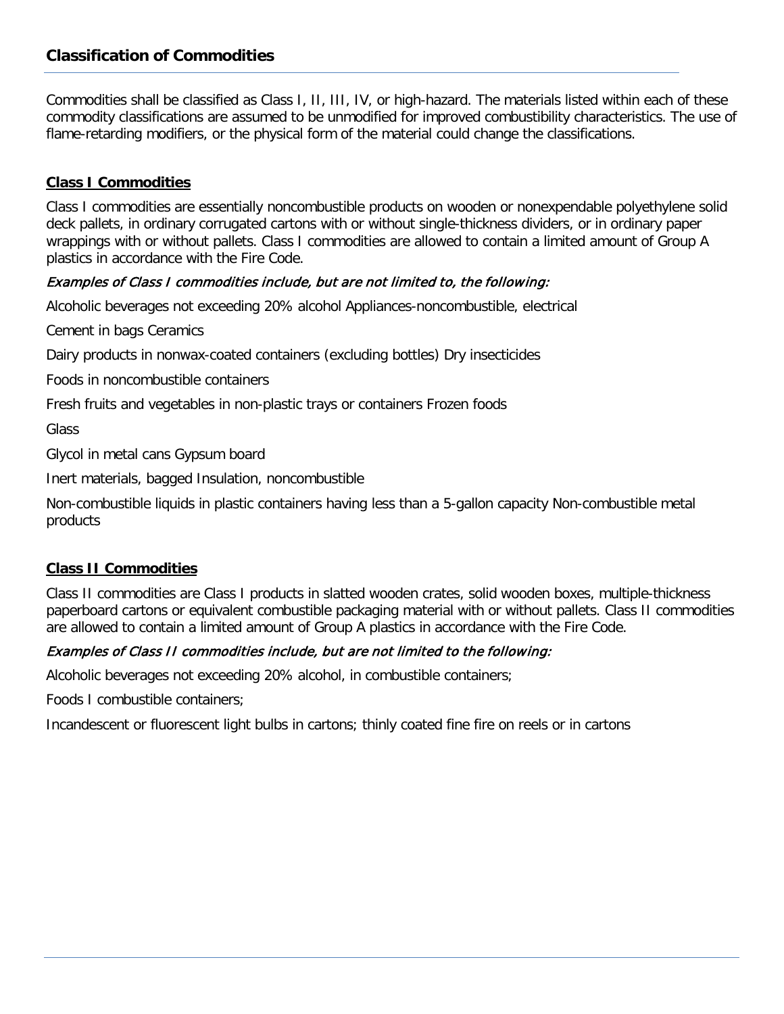# **Classification of Commodities**

Commodities shall be classified as Class I, II, III, IV, or high-hazard. The materials listed within each of these commodity classifications are assumed to be unmodified for improved combustibility characteristics. The use of flame-retarding modifiers, or the physical form of the material could change the classifications.

#### **Class I Commodities**

Class I commodities are essentially noncombustible products on wooden or nonexpendable polyethylene solid deck pallets, in ordinary corrugated cartons with or without single-thickness dividers, or in ordinary paper wrappings with or without pallets. Class I commodities are allowed to contain a limited amount of Group A plastics in accordance with the Fire Code.

#### Examples of Class I commodities include, but are not limited to, the following:

Alcoholic beverages not exceeding 20% alcohol Appliances-noncombustible, electrical

Cement in bags Ceramics

Dairy products in nonwax-coated containers (excluding bottles) Dry insecticides

Foods in noncombustible containers

Fresh fruits and vegetables in non-plastic trays or containers Frozen foods

Glass

Glycol in metal cans Gypsum board

Inert materials, bagged Insulation, noncombustible

Non-combustible liquids in plastic containers having less than a 5-gallon capacity Non-combustible metal products

#### **Class II Commodities**

Class II commodities are Class I products in slatted wooden crates, solid wooden boxes, multiple-thickness paperboard cartons or equivalent combustible packaging material with or without pallets. Class II commodities are allowed to contain a limited amount of Group A plastics in accordance with the Fire Code.

#### Examples of Class II commodities include, but are not limited to the following:

Alcoholic beverages not exceeding 20% alcohol, in combustible containers;

Foods I combustible containers;

Incandescent or fluorescent light bulbs in cartons; thinly coated fine fire on reels or in cartons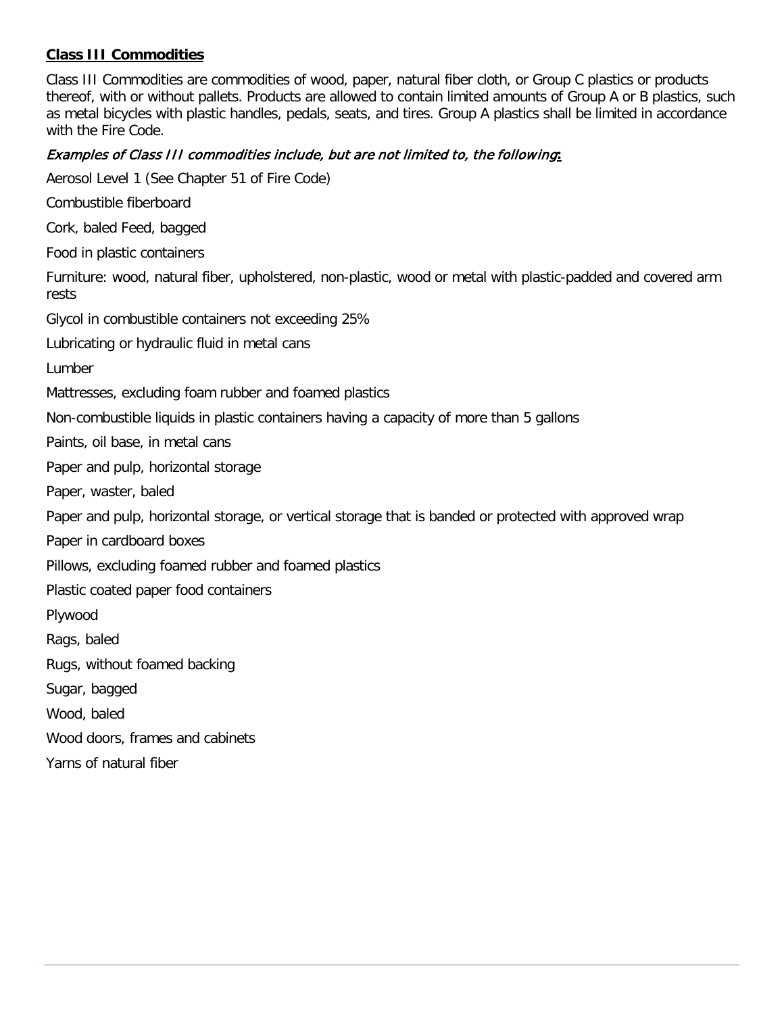### **Class III Commodities**

Class III Commodities are commodities of wood, paper, natural fiber cloth, or Group C plastics or products thereof, with or without pallets. Products are allowed to contain limited amounts of Group A or B plastics, such as metal bicycles with plastic handles, pedals, seats, and tires. Group A plastics shall be limited in accordance with the Fire Code.

#### Examples of Class III commodities include, but are not limited to, the following**:**

Aerosol Level 1 (See Chapter 51 of Fire Code)

Combustible fiberboard

Cork, baled Feed, bagged

Food in plastic containers

Furniture: wood, natural fiber, upholstered, non-plastic, wood or metal with plastic-padded and covered arm rests

Glycol in combustible containers not exceeding 25%

Lubricating or hydraulic fluid in metal cans

Lumber

Mattresses, excluding foam rubber and foamed plastics

Non-combustible liquids in plastic containers having a capacity of more than 5 gallons

Paints, oil base, in metal cans

Paper and pulp, horizontal storage

Paper, waster, baled

Paper and pulp, horizontal storage, or vertical storage that is banded or protected with approved wrap

Paper in cardboard boxes

Pillows, excluding foamed rubber and foamed plastics

Plastic coated paper food containers

Plywood

Rags, baled

Rugs, without foamed backing

Sugar, bagged

Wood, baled

Wood doors, frames and cabinets

Yarns of natural fiber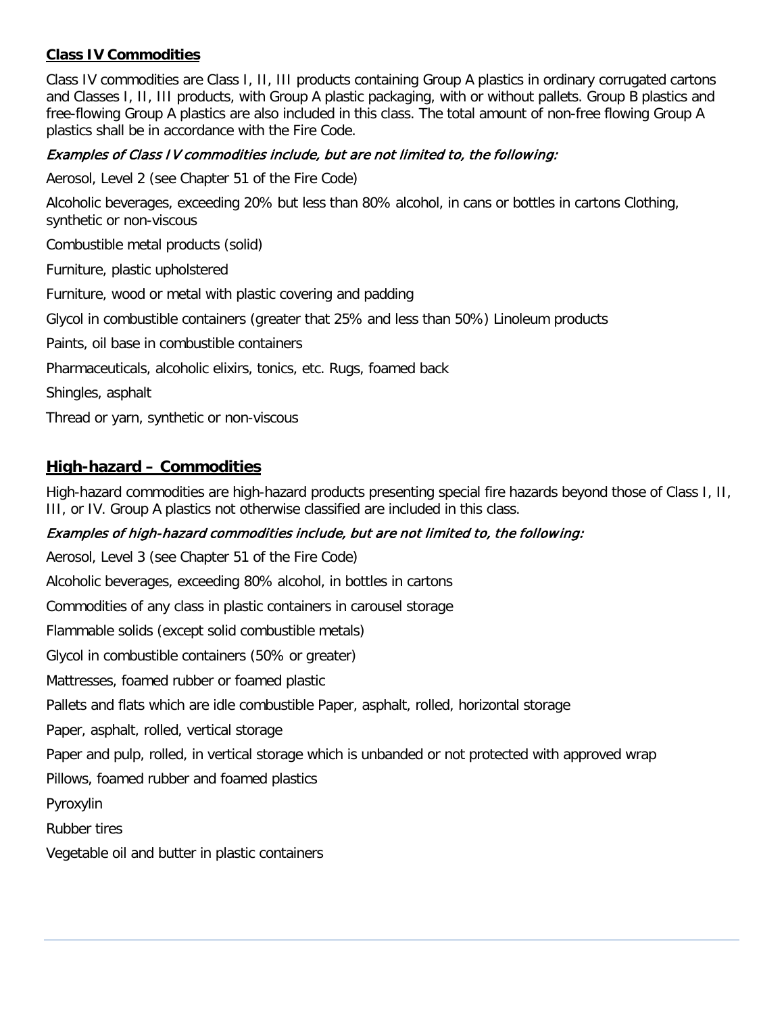## **Class IV Commodities**

Class IV commodities are Class I, II, III products containing Group A plastics in ordinary corrugated cartons and Classes I, II, III products, with Group A plastic packaging, with or without pallets. Group B plastics and free-flowing Group A plastics are also included in this class. The total amount of non-free flowing Group A plastics shall be in accordance with the Fire Code.

## Examples of Class IV commodities include, but are not limited to, the following:

Aerosol, Level 2 (see Chapter 51 of the Fire Code)

Alcoholic beverages, exceeding 20% but less than 80% alcohol, in cans or bottles in cartons Clothing, synthetic or non-viscous

Combustible metal products (solid)

Furniture, plastic upholstered

Furniture, wood or metal with plastic covering and padding

Glycol in combustible containers (greater that 25% and less than 50%) Linoleum products

Paints, oil base in combustible containers

Pharmaceuticals, alcoholic elixirs, tonics, etc. Rugs, foamed back

Shingles, asphalt

Thread or yarn, synthetic or non-viscous

# **High-hazard – Commodities**

High-hazard commodities are high-hazard products presenting special fire hazards beyond those of Class I, II, III, or IV. Group A plastics not otherwise classified are included in this class.

## Examples of high-hazard commodities include, but are not limited to, the following:

Aerosol, Level 3 (see Chapter 51 of the Fire Code)

Alcoholic beverages, exceeding 80% alcohol, in bottles in cartons

Commodities of any class in plastic containers in carousel storage

Flammable solids (except solid combustible metals)

Glycol in combustible containers (50% or greater)

Mattresses, foamed rubber or foamed plastic

Pallets and flats which are idle combustible Paper, asphalt, rolled, horizontal storage

Paper, asphalt, rolled, vertical storage

Paper and pulp, rolled, in vertical storage which is unbanded or not protected with approved wrap

Pillows, foamed rubber and foamed plastics

Pyroxylin

Rubber tires

Vegetable oil and butter in plastic containers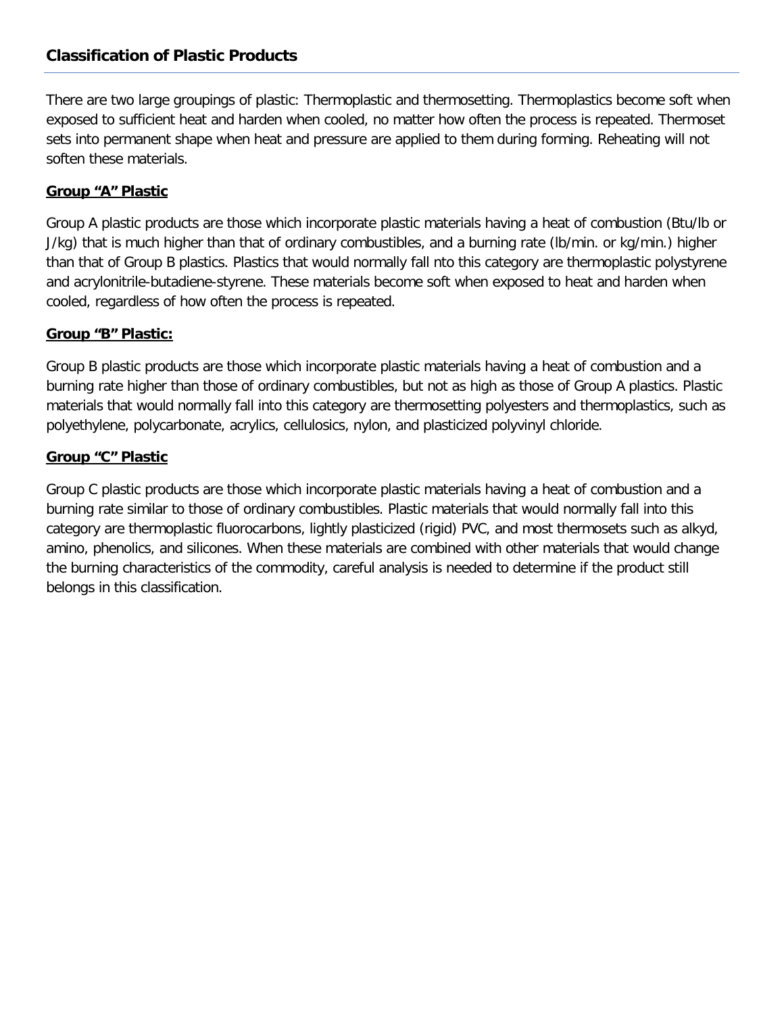# **Classification of Plastic Products**

There are two large groupings of plastic: Thermoplastic and thermosetting. Thermoplastics become soft when exposed to sufficient heat and harden when cooled, no matter how often the process is repeated. Thermoset sets into permanent shape when heat and pressure are applied to them during forming. Reheating will not soften these materials.

#### **Group "A" Plastic**

Group A plastic products are those which incorporate plastic materials having a heat of combustion (Btu/lb or J/kg) that is much higher than that of ordinary combustibles, and a burning rate (lb/min. or kg/min.) higher than that of Group B plastics. Plastics that would normally fall nto this category are thermoplastic polystyrene and acrylonitrile-butadiene-styrene. These materials become soft when exposed to heat and harden when cooled, regardless of how often the process is repeated.

### **Group "B" Plastic:**

Group B plastic products are those which incorporate plastic materials having a heat of combustion and a burning rate higher than those of ordinary combustibles, but not as high as those of Group A plastics. Plastic materials that would normally fall into this category are thermosetting polyesters and thermoplastics, such as polyethylene, polycarbonate, acrylics, cellulosics, nylon, and plasticized polyvinyl chloride.

#### **Group "C" Plastic**

Group C plastic products are those which incorporate plastic materials having a heat of combustion and a burning rate similar to those of ordinary combustibles. Plastic materials that would normally fall into this category are thermoplastic fluorocarbons, lightly plasticized (rigid) PVC, and most thermosets such as alkyd, amino, phenolics, and silicones. When these materials are combined with other materials that would change the burning characteristics of the commodity, careful analysis is needed to determine if the product still belongs in this classification.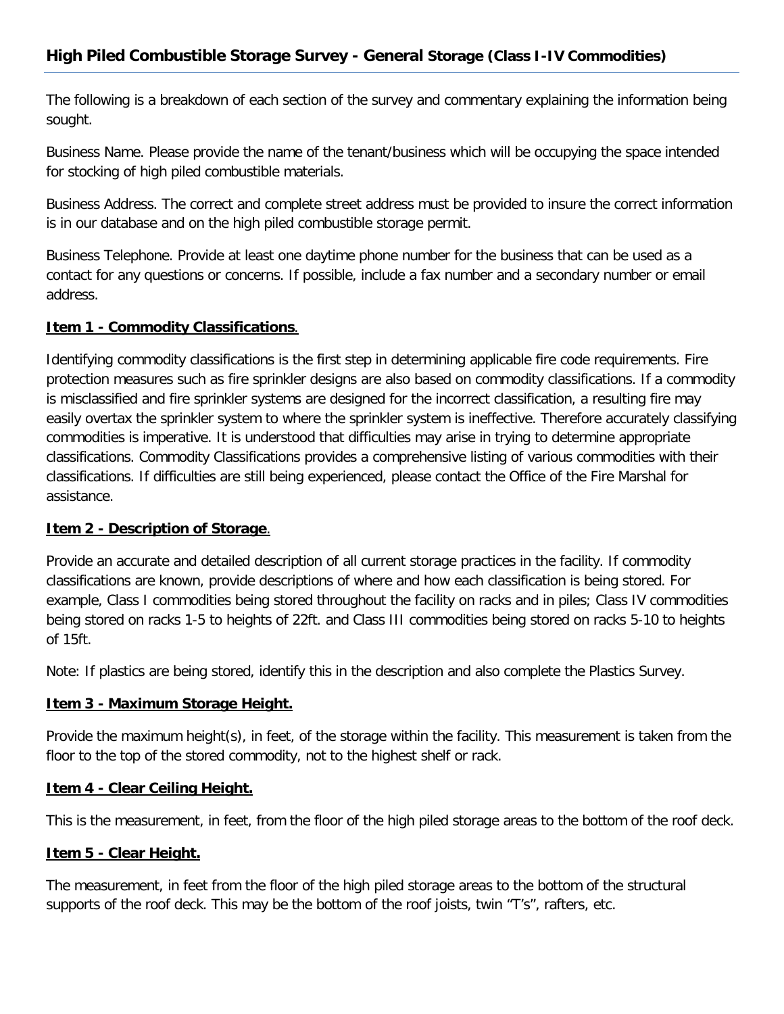The following is a breakdown of each section of the survey and commentary explaining the information being sought.

Business Name. Please provide the name of the tenant/business which will be occupying the space intended for stocking of high piled combustible materials.

Business Address. The correct and complete street address must be provided to insure the correct information is in our database and on the high piled combustible storage permit.

Business Telephone. Provide at least one daytime phone number for the business that can be used as a contact for any questions or concerns. If possible, include a fax number and a secondary number or email address.

### **Item 1 - Commodity Classifications**.

Identifying commodity classifications is the first step in determining applicable fire code requirements. Fire protection measures such as fire sprinkler designs are also based on commodity classifications. If a commodity is misclassified and fire sprinkler systems are designed for the incorrect classification, a resulting fire may easily overtax the sprinkler system to where the sprinkler system is ineffective. Therefore accurately classifying commodities is imperative. It is understood that difficulties may arise in trying to determine appropriate classifications. Commodity Classifications provides a comprehensive listing of various commodities with their classifications. If difficulties are still being experienced, please contact the Office of the Fire Marshal for assistance.

#### **Item 2 - Description of Storage**.

Provide an accurate and detailed description of all current storage practices in the facility. If commodity classifications are known, provide descriptions of where and how each classification is being stored. For example, Class I commodities being stored throughout the facility on racks and in piles; Class IV commodities being stored on racks 1-5 to heights of 22ft. and Class III commodities being stored on racks 5-10 to heights of 15ft.

Note: If plastics are being stored, identify this in the description and also complete the Plastics Survey.

## **Item 3 - Maximum Storage Height.**

Provide the maximum height(s), in feet, of the storage within the facility. This measurement is taken from the floor to the top of the stored commodity, not to the highest shelf or rack.

## **Item 4 - Clear Ceiling Height.**

This is the measurement, in feet, from the floor of the high piled storage areas to the bottom of the roof deck.

#### **Item 5 - Clear Height.**

The measurement, in feet from the floor of the high piled storage areas to the bottom of the structural supports of the roof deck. This may be the bottom of the roof joists, twin "T's", rafters, etc.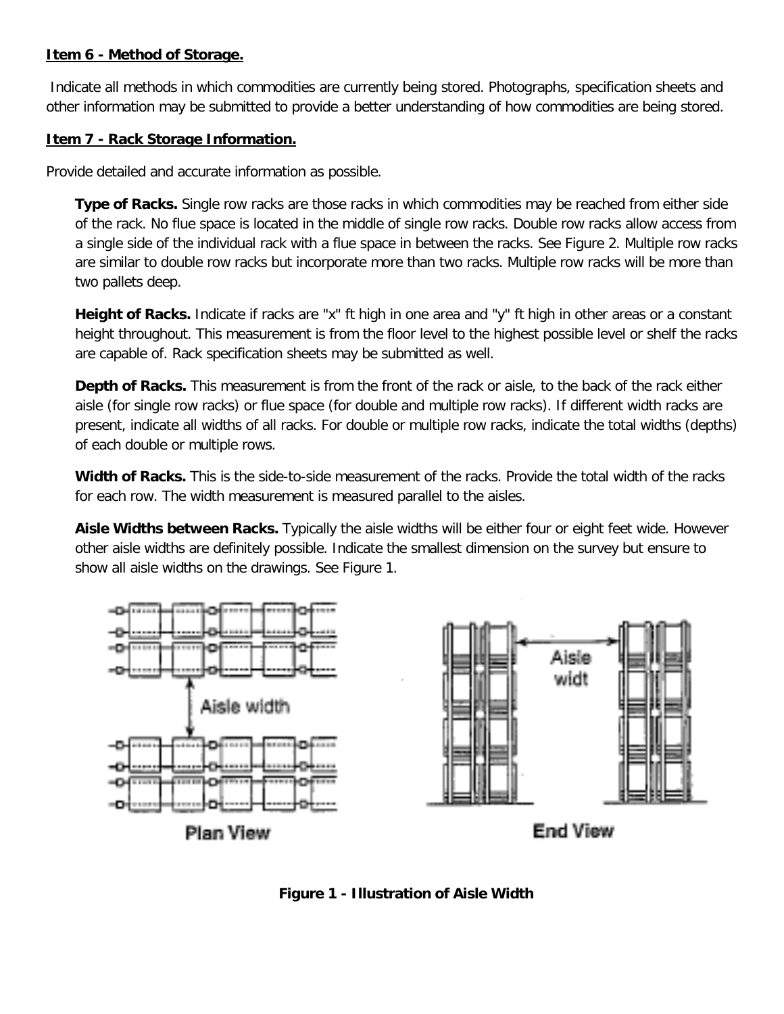## **Item 6 - Method of Storage.**

Indicate all methods in which commodities are currently being stored. Photographs, specification sheets and other information may be submitted to provide a better understanding of how commodities are being stored.

### **Item 7 - Rack Storage Information.**

Provide detailed and accurate information as possible.

**Type of Racks.** Single row racks are those racks in which commodities may be reached from either side of the rack. No flue space is located in the middle of single row racks. Double row racks allow access from a single side of the individual rack with a flue space in between the racks. See Figure 2. Multiple row racks are similar to double row racks but incorporate more than two racks. Multiple row racks will be more than two pallets deep.

**Height of Racks.** Indicate if racks are "x" ft high in one area and "y" ft high in other areas or a constant height throughout. This measurement is from the floor level to the highest possible level or shelf the racks are capable of. Rack specification sheets may be submitted as well.

**Depth of Racks.** This measurement is from the front of the rack or aisle, to the back of the rack either aisle (for single row racks) or flue space (for double and multiple row racks). If different width racks are present, indicate all widths of all racks. For double or multiple row racks, indicate the total widths (depths) of each double or multiple rows.

**Width of Racks.** This is the side-to-side measurement of the racks. Provide the total width of the racks for each row. The width measurement is measured parallel to the aisles.

**Aisle Widths between Racks.** Typically the aisle widths will be either four or eight feet wide. However other aisle widths are definitely possible. Indicate the smallest dimension on the survey but ensure to show all aisle widths on the drawings. See Figure 1.



**Figure 1 - Illustration of Aisle Width**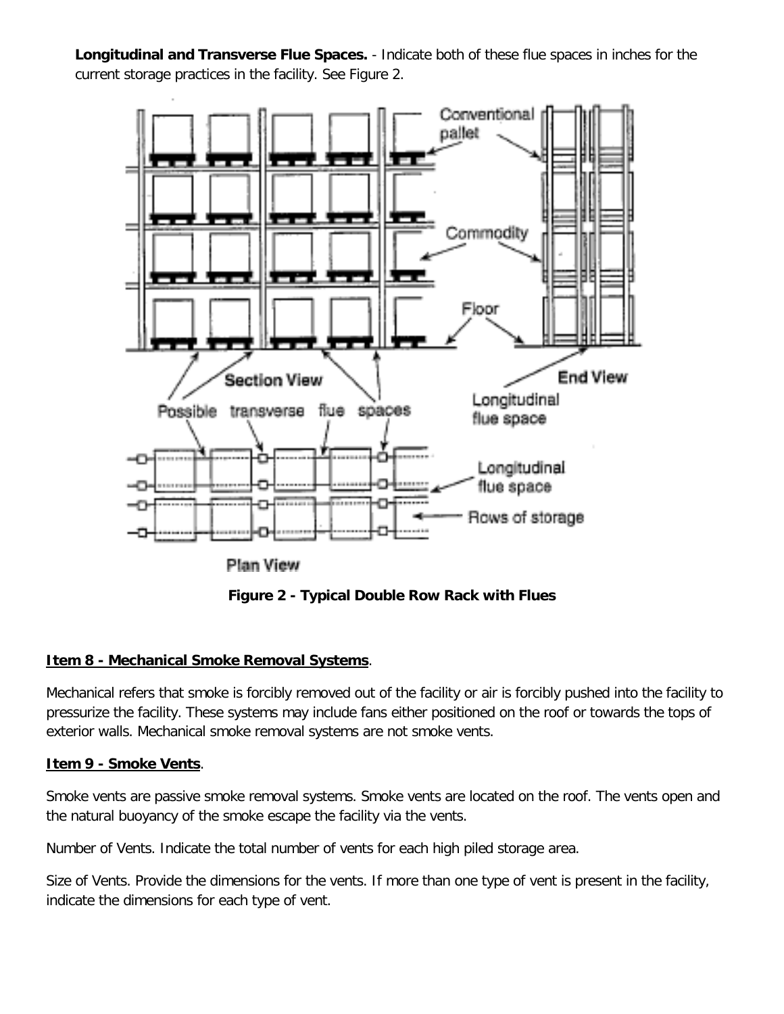**Longitudinal and Transverse Flue Spaces.** - Indicate both of these flue spaces in inches for the current storage practices in the facility. See Figure 2.



**Figure 2 - Typical Double Row Rack with Flues**

## **Item 8 - Mechanical Smoke Removal Systems**.

Mechanical refers that smoke is forcibly removed out of the facility or air is forcibly pushed into the facility to pressurize the facility. These systems may include fans either positioned on the roof or towards the tops of exterior walls. Mechanical smoke removal systems are not smoke vents.

## **Item 9 - Smoke Vents**.

Smoke vents are passive smoke removal systems. Smoke vents are located on the roof. The vents open and the natural buoyancy of the smoke escape the facility via the vents.

Number of Vents. Indicate the total number of vents for each high piled storage area.

Size of Vents. Provide the dimensions for the vents. If more than one type of vent is present in the facility, indicate the dimensions for each type of vent.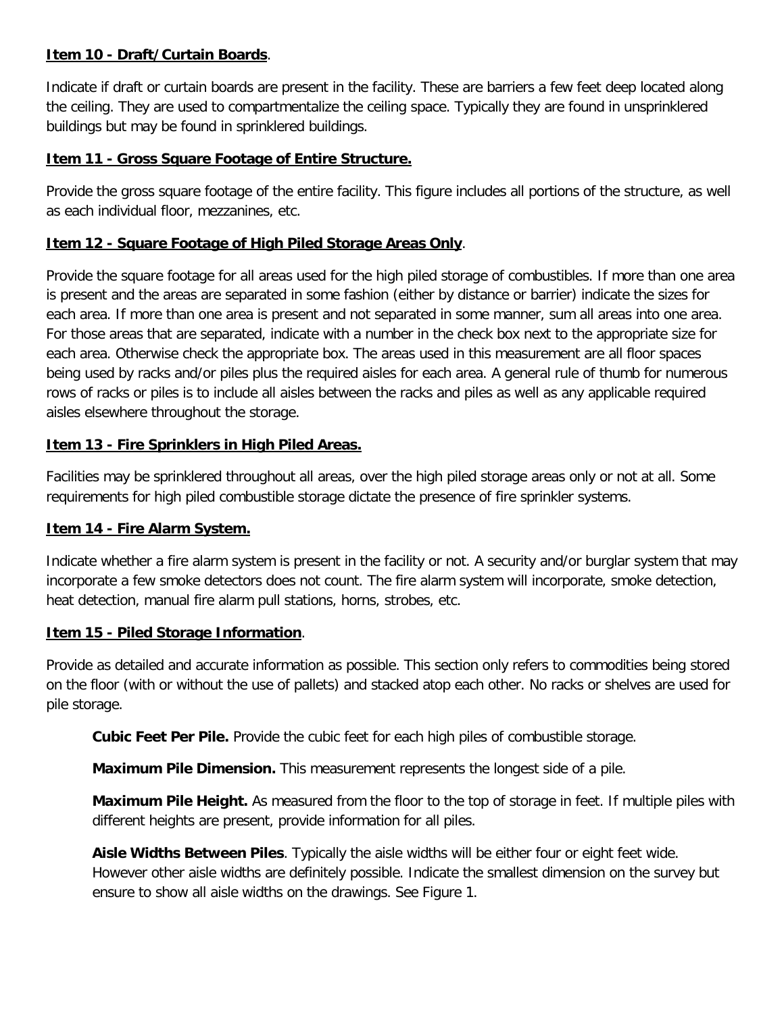## **Item 10 - Draft/Curtain Boards**.

Indicate if draft or curtain boards are present in the facility. These are barriers a few feet deep located along the ceiling. They are used to compartmentalize the ceiling space. Typically they are found in unsprinklered buildings but may be found in sprinklered buildings.

### **Item 11 - Gross Square Footage of Entire Structure.**

Provide the gross square footage of the entire facility. This figure includes all portions of the structure, as well as each individual floor, mezzanines, etc.

### **Item 12 - Square Footage of High Piled Storage Areas Only**.

Provide the square footage for all areas used for the high piled storage of combustibles. If more than one area is present and the areas are separated in some fashion (either by distance or barrier) indicate the sizes for each area. If more than one area is present and not separated in some manner, sum all areas into one area. For those areas that are separated, indicate with a number in the check box next to the appropriate size for each area. Otherwise check the appropriate box. The areas used in this measurement are all floor spaces being used by racks and/or piles plus the required aisles for each area. A general rule of thumb for numerous rows of racks or piles is to include all aisles between the racks and piles as well as any applicable required aisles elsewhere throughout the storage.

### **Item 13 - Fire Sprinklers in High Piled Areas.**

Facilities may be sprinklered throughout all areas, over the high piled storage areas only or not at all. Some requirements for high piled combustible storage dictate the presence of fire sprinkler systems.

#### **Item 14 - Fire Alarm System.**

Indicate whether a fire alarm system is present in the facility or not. A security and/or burglar system that may incorporate a few smoke detectors does not count. The fire alarm system will incorporate, smoke detection, heat detection, manual fire alarm pull stations, horns, strobes, etc.

#### **Item 15 - Piled Storage Information**.

Provide as detailed and accurate information as possible. This section only refers to commodities being stored on the floor (with or without the use of pallets) and stacked atop each other. No racks or shelves are used for pile storage.

**Cubic Feet Per Pile.** Provide the cubic feet for each high piles of combustible storage.

**Maximum Pile Dimension.** This measurement represents the longest side of a pile.

**Maximum Pile Height.** As measured from the floor to the top of storage in feet. If multiple piles with different heights are present, provide information for all piles.

**Aisle Widths Between Piles**. Typically the aisle widths will be either four or eight feet wide. However other aisle widths are definitely possible. Indicate the smallest dimension on the survey but ensure to show all aisle widths on the drawings. See Figure 1.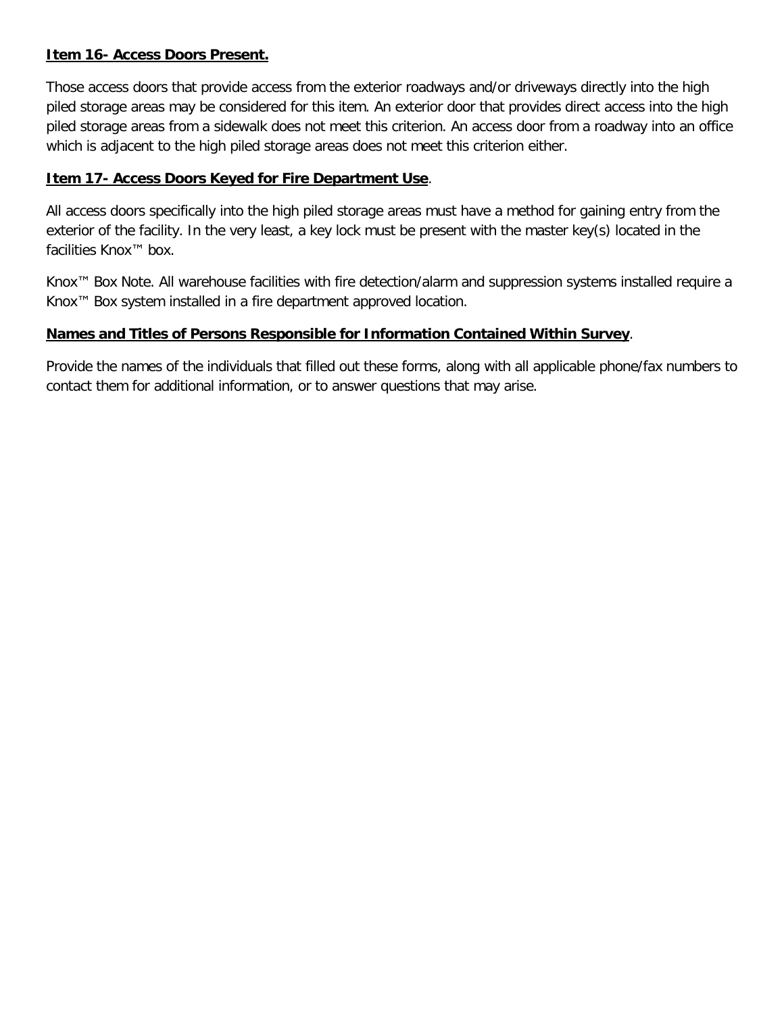## **Item 16- Access Doors Present.**

Those access doors that provide access from the exterior roadways and/or driveways directly into the high piled storage areas may be considered for this item. An exterior door that provides direct access into the high piled storage areas from a sidewalk does not meet this criterion. An access door from a roadway into an office which is adjacent to the high piled storage areas does not meet this criterion either.

## **Item 17- Access Doors Keyed for Fire Department Use**.

All access doors specifically into the high piled storage areas must have a method for gaining entry from the exterior of the facility. In the very least, a key lock must be present with the master key(s) located in the facilities Knox™ box.

Knox™ Box Note. All warehouse facilities with fire detection/alarm and suppression systems installed require a Knox™ Box system installed in a fire department approved location.

# **Names and Titles of Persons Responsible for Information Contained Within Survey**.

Provide the names of the individuals that filled out these forms, along with all applicable phone/fax numbers to contact them for additional information, or to answer questions that may arise.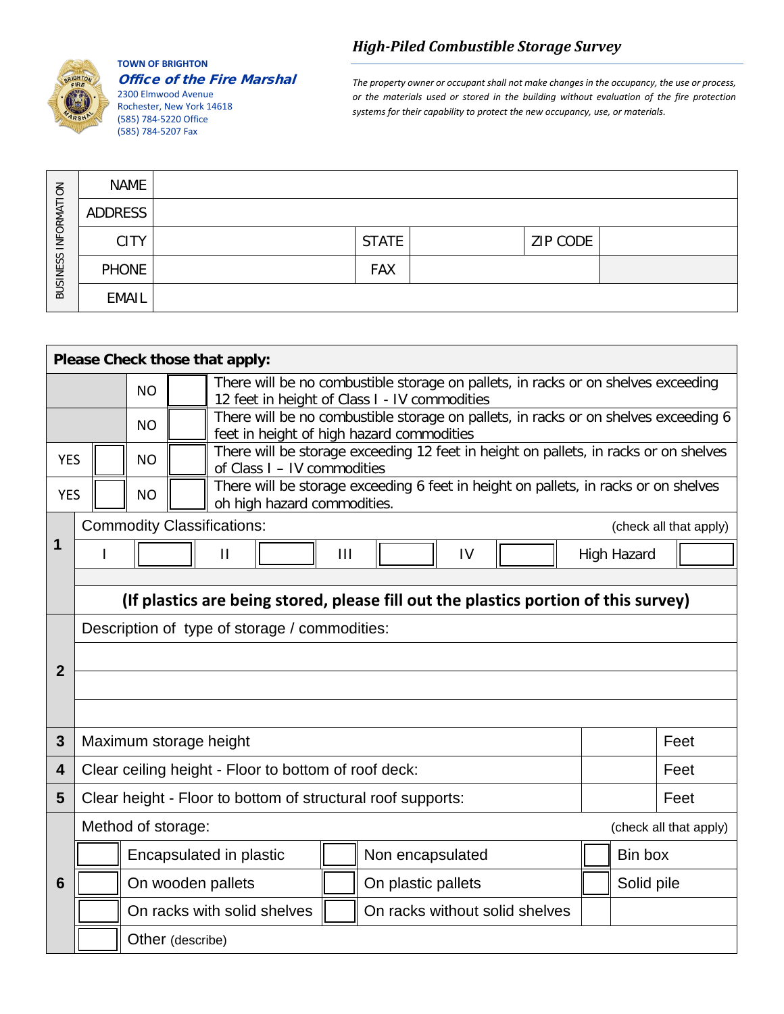

#### **TOWN OF BRIGHTON** Office of the Fire Marshal

2300 Elmwood Avenue Rochester, New York 14618 (585) 784-5220 Office (585) 784-5207 Fax

*The property owner or occupant shall not make changes in the occupancy, the use or process, or the materials used or stored in the building without evaluation of the fire protection systems for their capability to protect the new occupancy, use, or materials.*

| INFORMATION<br><b>BUSINESS</b> | <b>NAME</b>  |              |          |  |
|--------------------------------|--------------|--------------|----------|--|
|                                | ADDRESS      |              |          |  |
|                                | <b>CITY</b>  | <b>STATE</b> | ZIP CODE |  |
|                                | <b>PHONE</b> | <b>FAX</b>   |          |  |
|                                | <b>EMAIL</b> |              |          |  |

| Please Check those that apply:                                                                                                                |                                                                                                                                                |                        |  |                                                                                                                                    |                |                                |    |  |  |                    |                        |  |  |
|-----------------------------------------------------------------------------------------------------------------------------------------------|------------------------------------------------------------------------------------------------------------------------------------------------|------------------------|--|------------------------------------------------------------------------------------------------------------------------------------|----------------|--------------------------------|----|--|--|--------------------|------------------------|--|--|
|                                                                                                                                               |                                                                                                                                                | <b>NO</b>              |  | There will be no combustible storage on pallets, in racks or on shelves exceeding<br>12 feet in height of Class I - IV commodities |                |                                |    |  |  |                    |                        |  |  |
| There will be no combustible storage on pallets, in racks or on shelves exceeding 6<br><b>NO</b><br>feet in height of high hazard commodities |                                                                                                                                                |                        |  |                                                                                                                                    |                |                                |    |  |  |                    |                        |  |  |
|                                                                                                                                               | There will be storage exceeding 12 feet in height on pallets, in racks or on shelves<br><b>YES</b><br><b>NO</b><br>of Class I - IV commodities |                        |  |                                                                                                                                    |                |                                |    |  |  |                    |                        |  |  |
| <b>YES</b>                                                                                                                                    | There will be storage exceeding 6 feet in height on pallets, in racks or on shelves<br><b>NO</b><br>oh high hazard commodities.                |                        |  |                                                                                                                                    |                |                                |    |  |  |                    |                        |  |  |
|                                                                                                                                               |                                                                                                                                                |                        |  | <b>Commodity Classifications:</b>                                                                                                  |                |                                |    |  |  |                    | (check all that apply) |  |  |
| 1                                                                                                                                             | ı                                                                                                                                              |                        |  | $\mathbf{H}$                                                                                                                       | $\mathbf{III}$ |                                | IV |  |  | <b>High Hazard</b> |                        |  |  |
|                                                                                                                                               |                                                                                                                                                |                        |  |                                                                                                                                    |                |                                |    |  |  |                    |                        |  |  |
|                                                                                                                                               |                                                                                                                                                |                        |  | (If plastics are being stored, please fill out the plastics portion of this survey)                                                |                |                                |    |  |  |                    |                        |  |  |
|                                                                                                                                               | Description of type of storage / commodities:                                                                                                  |                        |  |                                                                                                                                    |                |                                |    |  |  |                    |                        |  |  |
| $\overline{2}$                                                                                                                                |                                                                                                                                                |                        |  |                                                                                                                                    |                |                                |    |  |  |                    |                        |  |  |
|                                                                                                                                               |                                                                                                                                                |                        |  |                                                                                                                                    |                |                                |    |  |  |                    |                        |  |  |
|                                                                                                                                               |                                                                                                                                                |                        |  |                                                                                                                                    |                |                                |    |  |  |                    |                        |  |  |
| 3                                                                                                                                             |                                                                                                                                                | Maximum storage height |  |                                                                                                                                    |                |                                |    |  |  |                    | Feet                   |  |  |
| 4                                                                                                                                             |                                                                                                                                                |                        |  | Clear ceiling height - Floor to bottom of roof deck:                                                                               |                |                                |    |  |  | Feet               |                        |  |  |
| 5                                                                                                                                             |                                                                                                                                                |                        |  | Clear height - Floor to bottom of structural roof supports:                                                                        |                |                                |    |  |  |                    | Feet                   |  |  |
|                                                                                                                                               |                                                                                                                                                | Method of storage:     |  |                                                                                                                                    |                |                                |    |  |  |                    | (check all that apply) |  |  |
|                                                                                                                                               |                                                                                                                                                |                        |  | Encapsulated in plastic                                                                                                            |                | Non encapsulated               |    |  |  | Bin box            |                        |  |  |
| 6                                                                                                                                             |                                                                                                                                                |                        |  | On wooden pallets                                                                                                                  |                | On plastic pallets             |    |  |  | Solid pile         |                        |  |  |
|                                                                                                                                               |                                                                                                                                                |                        |  | On racks with solid shelves                                                                                                        |                | On racks without solid shelves |    |  |  |                    |                        |  |  |
| Other (describe)                                                                                                                              |                                                                                                                                                |                        |  |                                                                                                                                    |                |                                |    |  |  |                    |                        |  |  |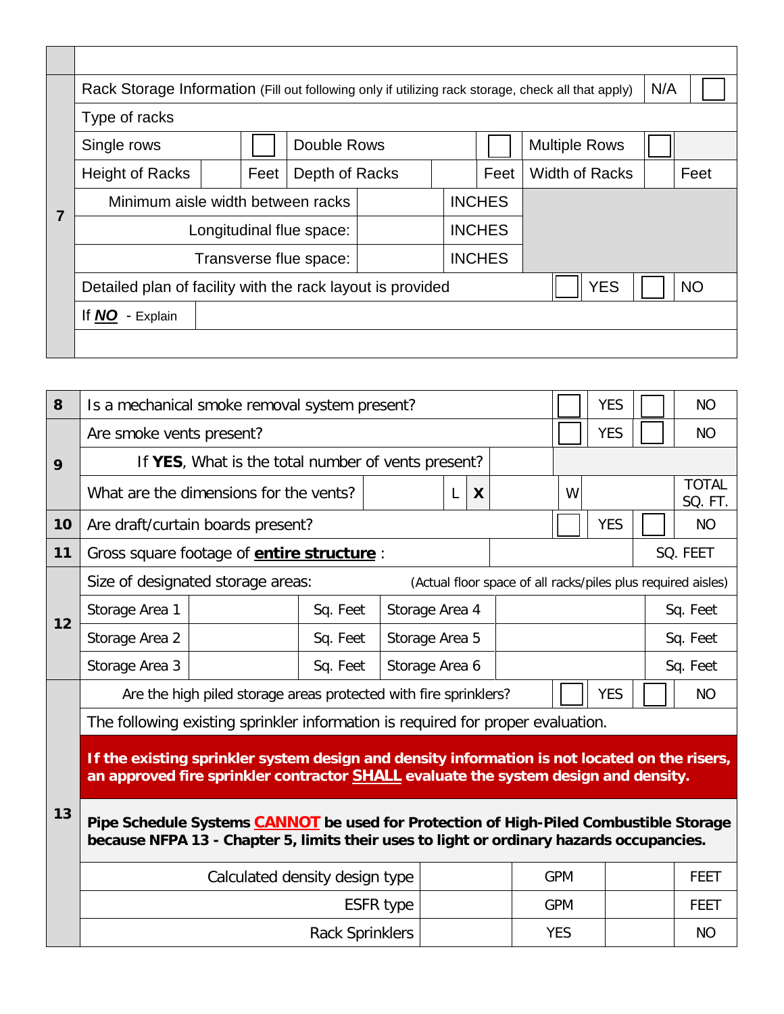|  | Rack Storage Information (Fill out following only if utilizing rack storage, check all that apply) | N/A                      |                |           |  |               |                      |  |      |  |  |  |
|--|----------------------------------------------------------------------------------------------------|--------------------------|----------------|-----------|--|---------------|----------------------|--|------|--|--|--|
|  | Type of racks                                                                                      |                          |                |           |  |               |                      |  |      |  |  |  |
|  | Single rows                                                                                        |                          | Double Rows    |           |  |               | <b>Multiple Rows</b> |  |      |  |  |  |
|  | <b>Height of Racks</b>                                                                             | Feet                     | Depth of Racks |           |  | Feet          | Width of Racks       |  | Feet |  |  |  |
|  | Minimum aisle width between racks                                                                  |                          |                |           |  | <b>INCHES</b> |                      |  |      |  |  |  |
|  |                                                                                                    | Longitudinal flue space: |                |           |  | <b>INCHES</b> |                      |  |      |  |  |  |
|  | Transverse flue space:                                                                             |                          |                |           |  |               |                      |  |      |  |  |  |
|  | Detailed plan of facility with the rack layout is provided                                         | <b>YES</b>               |                | <b>NO</b> |  |               |                      |  |      |  |  |  |
|  | If NO<br>- Explain                                                                                 |                          |                |           |  |               |                      |  |      |  |  |  |
|  |                                                                                                    |                          |                |           |  |               |                      |  |      |  |  |  |

| 8       | Is a mechanical smoke removal system present?                                                                                                                                               |                                                    | <b>YES</b>                 |                  | <b>NO</b> |                                                              |                         |            |  |  |             |  |  |
|---------|---------------------------------------------------------------------------------------------------------------------------------------------------------------------------------------------|----------------------------------------------------|----------------------------|------------------|-----------|--------------------------------------------------------------|-------------------------|------------|--|--|-------------|--|--|
|         | Are smoke vents present?                                                                                                                                                                    |                                                    |                            | <b>YES</b>       |           | <b>NO</b>                                                    |                         |            |  |  |             |  |  |
| 9<br>10 |                                                                                                                                                                                             | If YES, What is the total number of vents present? |                            |                  |           |                                                              |                         |            |  |  |             |  |  |
|         |                                                                                                                                                                                             | What are the dimensions for the vents?             |                            | W                |           |                                                              | <b>TOTAL</b><br>SQ. FT. |            |  |  |             |  |  |
|         | Are draft/curtain boards present?                                                                                                                                                           |                                                    | <b>YES</b>                 |                  | <b>NO</b> |                                                              |                         |            |  |  |             |  |  |
| 11      | Gross square footage of <b>entire structure</b> :                                                                                                                                           |                                                    |                            |                  |           | SQ. FEET                                                     |                         |            |  |  |             |  |  |
|         |                                                                                                                                                                                             | Size of designated storage areas:                  |                            |                  |           | (Actual floor space of all racks/piles plus required aisles) |                         |            |  |  |             |  |  |
|         | Storage Area 1<br>Sq. Feet<br>Storage Area 4                                                                                                                                                |                                                    |                            |                  |           |                                                              |                         |            |  |  | Sq. Feet    |  |  |
| 12      | Storage Area 2                                                                                                                                                                              |                                                    | Sq. Feet<br>Storage Area 5 |                  |           |                                                              |                         |            |  |  | Sq. Feet    |  |  |
|         | Storage Area 3                                                                                                                                                                              |                                                    | Sq. Feet                   | Storage Area 6   |           |                                                              |                         |            |  |  | Sq. Feet    |  |  |
|         | Are the high piled storage areas protected with fire sprinklers?                                                                                                                            |                                                    | <b>YES</b>                 |                  | <b>NO</b> |                                                              |                         |            |  |  |             |  |  |
|         | The following existing sprinkler information is required for proper evaluation.                                                                                                             |                                                    |                            |                  |           |                                                              |                         |            |  |  |             |  |  |
|         | If the existing sprinkler system design and density information is not located on the risers,<br>an approved fire sprinkler contractor <b>SHALL</b> evaluate the system design and density. |                                                    |                            |                  |           |                                                              |                         |            |  |  |             |  |  |
| 13      | Pipe Schedule Systems CANNOT be used for Protection of High-Piled Combustible Storage<br>because NFPA 13 - Chapter 5, limits their uses to light or ordinary hazards occupancies.           |                                                    |                            |                  |           |                                                              |                         |            |  |  |             |  |  |
|         |                                                                                                                                                                                             | Calculated density design type                     |                            |                  |           |                                                              |                         | <b>GPM</b> |  |  | <b>FEET</b> |  |  |
|         |                                                                                                                                                                                             |                                                    |                            | <b>ESFR type</b> |           |                                                              |                         | <b>GPM</b> |  |  | <b>FEET</b> |  |  |
|         |                                                                                                                                                                                             |                                                    | <b>Rack Sprinklers</b>     |                  |           |                                                              |                         | <b>YES</b> |  |  | <b>NO</b>   |  |  |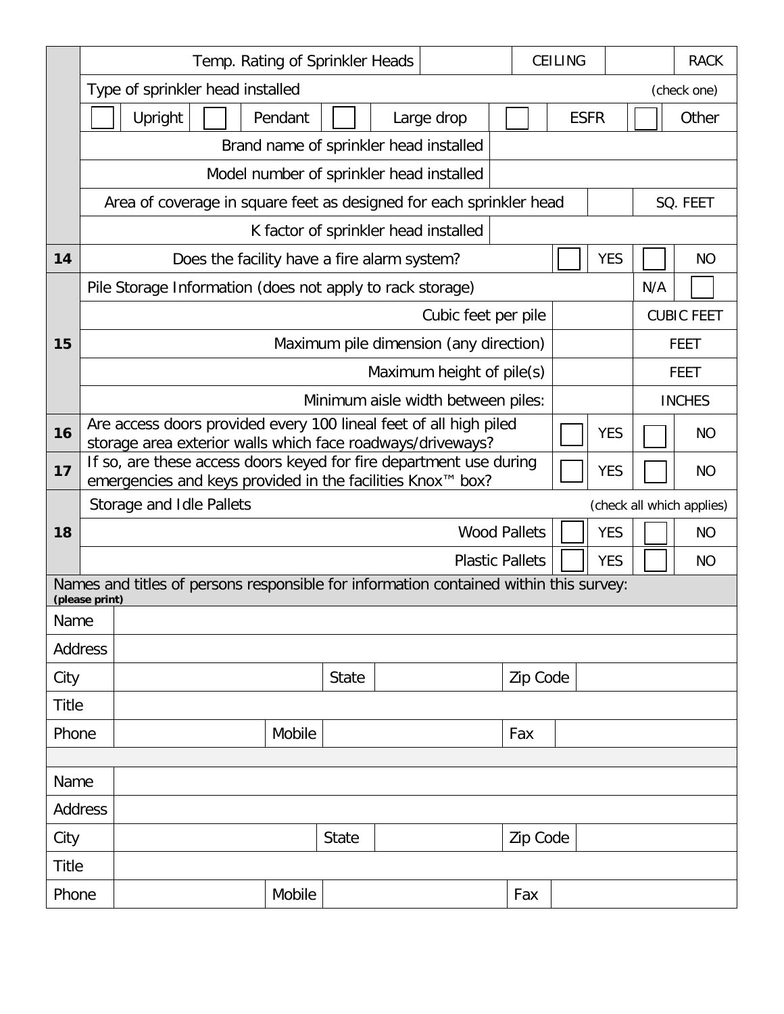|                |                                                                                                         |                                                                                                                                  | <b>CEILING</b>            |          |  |            |                                        |             |  |  |  |  |
|----------------|---------------------------------------------------------------------------------------------------------|----------------------------------------------------------------------------------------------------------------------------------|---------------------------|----------|--|------------|----------------------------------------|-------------|--|--|--|--|
|                | Temp. Rating of Sprinkler Heads                                                                         |                                                                                                                                  | <b>RACK</b>               |          |  |            |                                        |             |  |  |  |  |
|                | Type of sprinkler head installed                                                                        |                                                                                                                                  |                           |          |  |            |                                        | (check one) |  |  |  |  |
|                | Upright<br>Pendant                                                                                      | Large drop                                                                                                                       |                           |          |  |            |                                        |             |  |  |  |  |
|                | Brand name of sprinkler head installed                                                                  |                                                                                                                                  |                           |          |  |            |                                        |             |  |  |  |  |
|                |                                                                                                         | Model number of sprinkler head installed                                                                                         |                           |          |  |            |                                        |             |  |  |  |  |
|                | Area of coverage in square feet as designed for each sprinkler head                                     |                                                                                                                                  | SQ. FEET                  |          |  |            |                                        |             |  |  |  |  |
|                |                                                                                                         | K factor of sprinkler head installed                                                                                             |                           |          |  |            |                                        |             |  |  |  |  |
| 14             | Does the facility have a fire alarm system?                                                             |                                                                                                                                  |                           |          |  | <b>YES</b> |                                        | <b>NO</b>   |  |  |  |  |
|                | Pile Storage Information (does not apply to rack storage)                                               |                                                                                                                                  |                           |          |  |            | N/A                                    |             |  |  |  |  |
|                |                                                                                                         |                                                                                                                                  | Cubic feet per pile       |          |  |            | <b>CUBIC FEET</b>                      |             |  |  |  |  |
| 15             |                                                                                                         | Maximum pile dimension (any direction)                                                                                           |                           |          |  |            | <b>FEET</b>                            |             |  |  |  |  |
|                |                                                                                                         |                                                                                                                                  | Maximum height of pile(s) |          |  |            | <b>FEET</b>                            |             |  |  |  |  |
|                | Minimum aisle width between piles:                                                                      | <b>INCHES</b>                                                                                                                    |                           |          |  |            |                                        |             |  |  |  |  |
| 16             |                                                                                                         | Are access doors provided every 100 lineal feet of all high piled<br><b>YES</b>                                                  |                           |          |  |            |                                        |             |  |  |  |  |
| 17             |                                                                                                         | storage area exterior walls which face roadways/driveways?<br>If so, are these access doors keyed for fire department use during |                           |          |  |            |                                        |             |  |  |  |  |
|                | emergencies and keys provided in the facilities Knox™ box?                                              |                                                                                                                                  |                           |          |  | <b>YES</b> | <b>NO</b>                              |             |  |  |  |  |
|                | Storage and Idle Pallets                                                                                |                                                                                                                                  |                           |          |  | <b>YES</b> | (check all which applies)<br><b>NO</b> |             |  |  |  |  |
| 18             |                                                                                                         | <b>Wood Pallets</b>                                                                                                              |                           |          |  |            |                                        |             |  |  |  |  |
|                |                                                                                                         |                                                                                                                                  | <b>Plastic Pallets</b>    |          |  | <b>YES</b> |                                        | <b>NO</b>   |  |  |  |  |
|                | Names and titles of persons responsible for information contained within this survey:<br>(please print) |                                                                                                                                  |                           |          |  |            |                                        |             |  |  |  |  |
| Name           |                                                                                                         |                                                                                                                                  |                           |          |  |            |                                        |             |  |  |  |  |
| <b>Address</b> |                                                                                                         |                                                                                                                                  |                           |          |  |            |                                        |             |  |  |  |  |
| City           |                                                                                                         | <b>State</b>                                                                                                                     |                           | Zip Code |  |            |                                        |             |  |  |  |  |
| <b>Title</b>   |                                                                                                         |                                                                                                                                  |                           |          |  |            |                                        |             |  |  |  |  |
| Phone          |                                                                                                         | Mobile<br>Fax                                                                                                                    |                           |          |  |            |                                        |             |  |  |  |  |
|                |                                                                                                         |                                                                                                                                  |                           |          |  |            |                                        |             |  |  |  |  |
| Name           |                                                                                                         |                                                                                                                                  |                           |          |  |            |                                        |             |  |  |  |  |
| Address        |                                                                                                         |                                                                                                                                  |                           |          |  |            |                                        |             |  |  |  |  |
| City           |                                                                                                         | Zip Code<br><b>State</b>                                                                                                         |                           |          |  |            |                                        |             |  |  |  |  |
| <b>Title</b>   |                                                                                                         |                                                                                                                                  |                           |          |  |            |                                        |             |  |  |  |  |
| Phone          | Mobile                                                                                                  |                                                                                                                                  |                           | Fax      |  |            |                                        |             |  |  |  |  |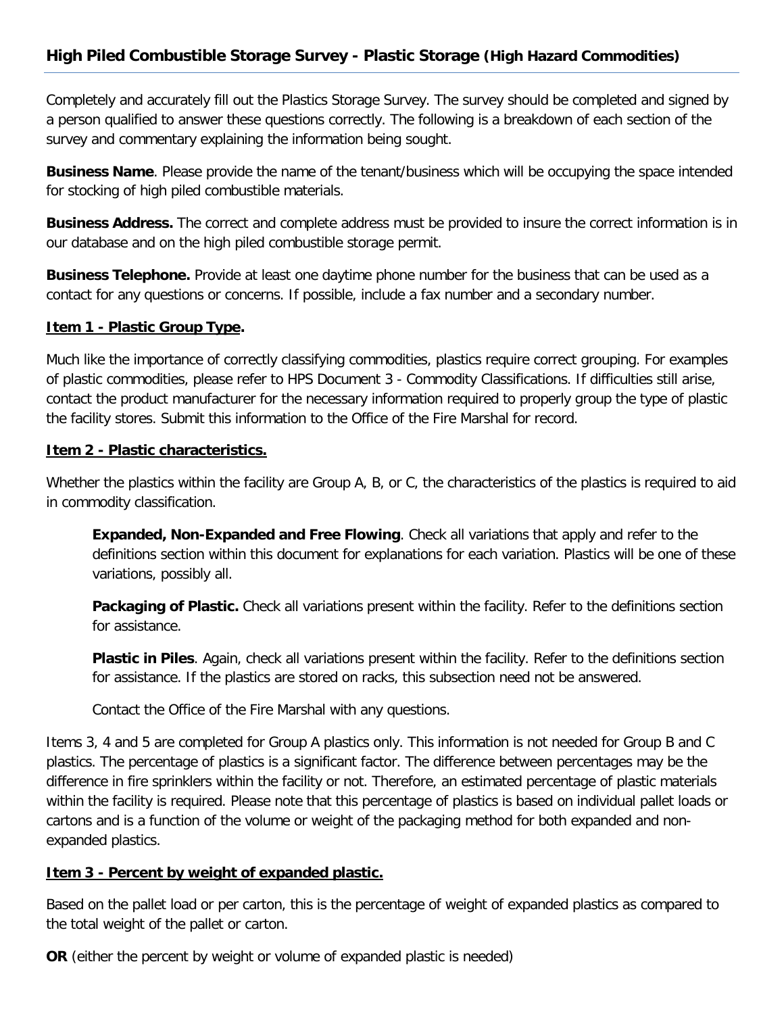# **High Piled Combustible Storage Survey - Plastic Storage (High Hazard Commodities)**

Completely and accurately fill out the Plastics Storage Survey. The survey should be completed and signed by a person qualified to answer these questions correctly. The following is a breakdown of each section of the survey and commentary explaining the information being sought.

**Business Name**. Please provide the name of the tenant/business which will be occupying the space intended for stocking of high piled combustible materials.

**Business Address.** The correct and complete address must be provided to insure the correct information is in our database and on the high piled combustible storage permit.

**Business Telephone.** Provide at least one daytime phone number for the business that can be used as a contact for any questions or concerns. If possible, include a fax number and a secondary number.

#### **Item 1 - Plastic Group Type.**

Much like the importance of correctly classifying commodities, plastics require correct grouping. For examples of plastic commodities, please refer to HPS Document 3 - Commodity Classifications. If difficulties still arise, contact the product manufacturer for the necessary information required to properly group the type of plastic the facility stores. Submit this information to the Office of the Fire Marshal for record.

### **Item 2 - Plastic characteristics.**

Whether the plastics within the facility are Group A, B, or C, the characteristics of the plastics is required to aid in commodity classification.

**Expanded, Non-Expanded and Free Flowing**. Check all variations that apply and refer to the definitions section within this document for explanations for each variation. Plastics will be one of these variations, possibly all.

**Packaging of Plastic.** Check all variations present within the facility. Refer to the definitions section for assistance.

**Plastic in Piles**. Again, check all variations present within the facility. Refer to the definitions section for assistance. If the plastics are stored on racks, this subsection need not be answered.

Contact the Office of the Fire Marshal with any questions.

Items 3, 4 and 5 are completed for Group A plastics only. This information is not needed for Group B and C plastics. The percentage of plastics is a significant factor. The difference between percentages may be the difference in fire sprinklers within the facility or not. Therefore, an estimated percentage of plastic materials within the facility is required. Please note that this percentage of plastics is based on individual pallet loads or cartons and is a function of the volume or weight of the packaging method for both expanded and nonexpanded plastics.

#### **Item 3 - Percent by weight of expanded plastic.**

Based on the pallet load or per carton, this is the percentage of weight of expanded plastics as compared to the total weight of the pallet or carton.

**OR** (either the percent by weight or volume of expanded plastic is needed)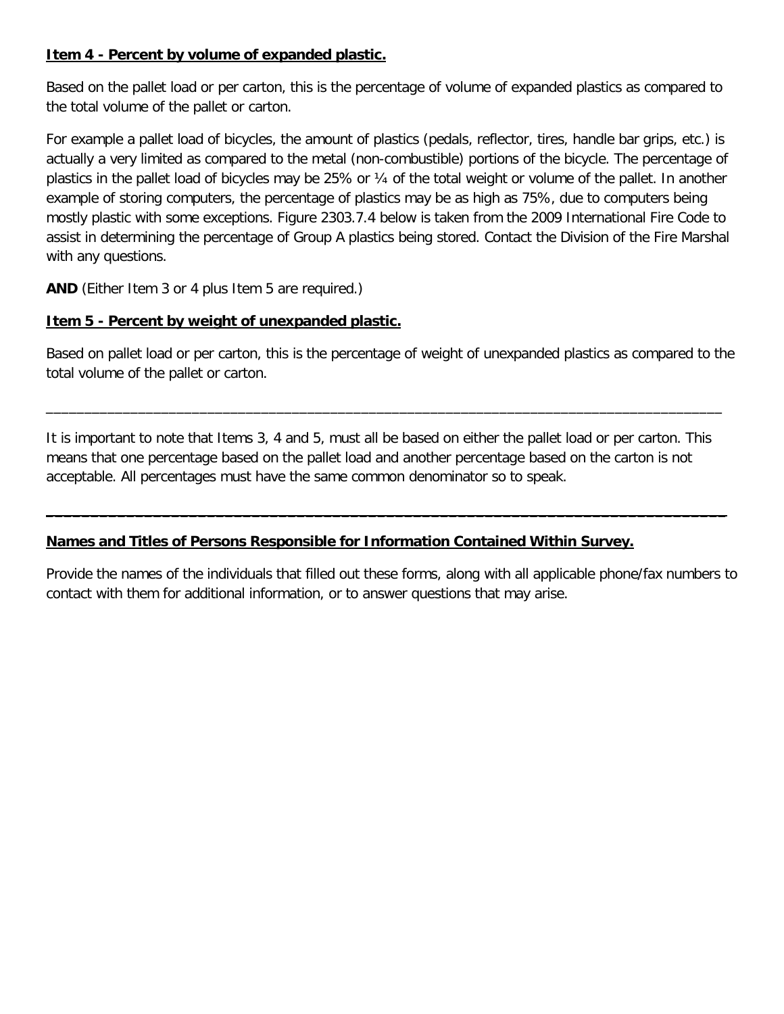## **Item 4 - Percent by volume of expanded plastic.**

Based on the pallet load or per carton, this is the percentage of volume of expanded plastics as compared to the total volume of the pallet or carton.

For example a pallet load of bicycles, the amount of plastics (pedals, reflector, tires, handle bar grips, etc.) is actually a very limited as compared to the metal (non-combustible) portions of the bicycle. The percentage of plastics in the pallet load of bicycles may be 25% or ¼ of the total weight or volume of the pallet. In another example of storing computers, the percentage of plastics may be as high as 75%, due to computers being mostly plastic with some exceptions. Figure 2303.7.4 below is taken from the 2009 International Fire Code to assist in determining the percentage of Group A plastics being stored. Contact the Division of the Fire Marshal with any questions.

**AND** (Either Item 3 or 4 plus Item 5 are required.)

## **Item 5 - Percent by weight of unexpanded plastic.**

Based on pallet load or per carton, this is the percentage of weight of unexpanded plastics as compared to the total volume of the pallet or carton.

It is important to note that Items 3, 4 and 5, must all be based on either the pallet load or per carton. This means that one percentage based on the pallet load and another percentage based on the carton is not acceptable. All percentages must have the same common denominator so to speak.

**\_\_\_\_\_\_\_\_\_\_\_\_\_\_\_\_\_\_\_\_\_\_\_\_\_\_\_\_\_\_\_\_\_\_\_\_\_\_\_\_\_\_\_\_\_\_\_\_\_\_\_\_\_\_\_\_\_\_\_\_\_\_\_\_\_\_\_\_\_\_\_\_\_\_\_\_**

\_\_\_\_\_\_\_\_\_\_\_\_\_\_\_\_\_\_\_\_\_\_\_\_\_\_\_\_\_\_\_\_\_\_\_\_\_\_\_\_\_\_\_\_\_\_\_\_\_\_\_\_\_\_\_\_\_\_\_\_\_\_\_\_\_\_\_\_\_\_\_\_\_\_\_\_\_\_\_\_\_\_\_\_\_\_\_\_

# **Names and Titles of Persons Responsible for Information Contained Within Survey.**

Provide the names of the individuals that filled out these forms, along with all applicable phone/fax numbers to contact with them for additional information, or to answer questions that may arise.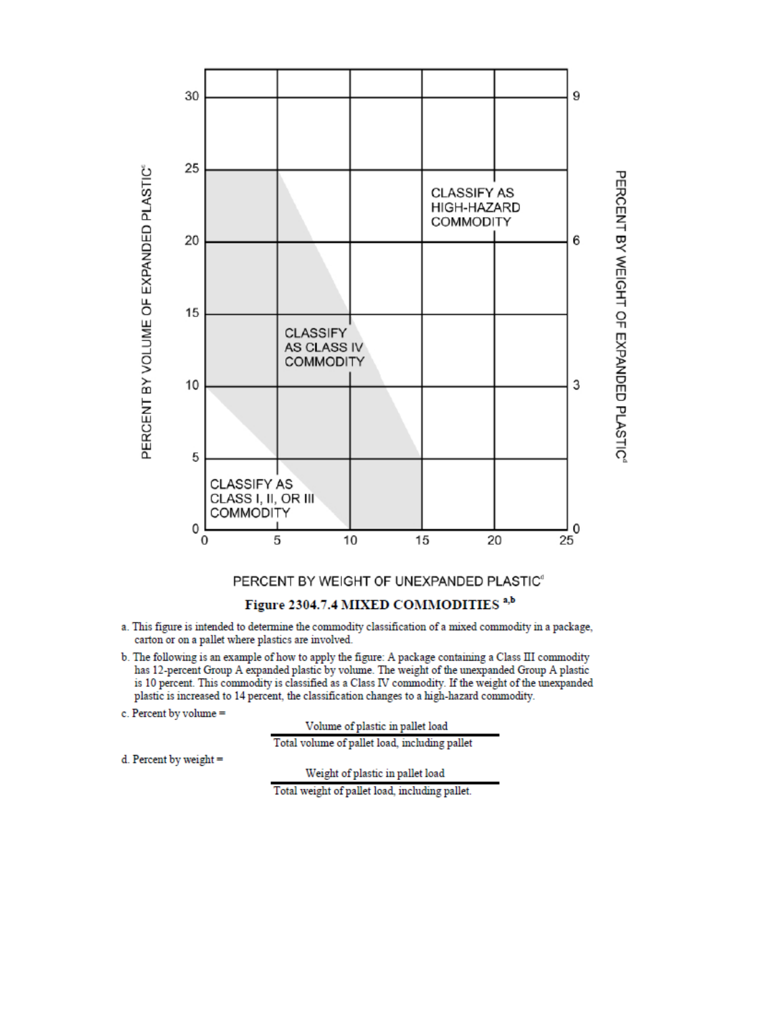

### PERCENT BY WEIGHT OF UNEXPANDED PLASTIC<sup>®</sup>

#### Figure 2304.7.4 MIXED COMMODITIES<sup>a,b</sup>

- a. This figure is intended to determine the commodity classification of a mixed commodity in a package, carton or on a pallet where plastics are involved.
- b. The following is an example of how to apply the figure: A package containing a Class III commodity has 12-percent Group A expanded plastic by volume. The weight of the unexpanded Group A plastic is 10 percent. This commodity is classified as a Class IV commodity. If the weight of the unexpanded plastic is increased to 14 percent, the classification changes to a high-hazard commodity.
- c. Percent by volume =

Volume of plastic in pallet load

Total volume of pallet load, including pallet

d. Percent by weight =

Weight of plastic in pallet load

Total weight of pallet load, including pallet.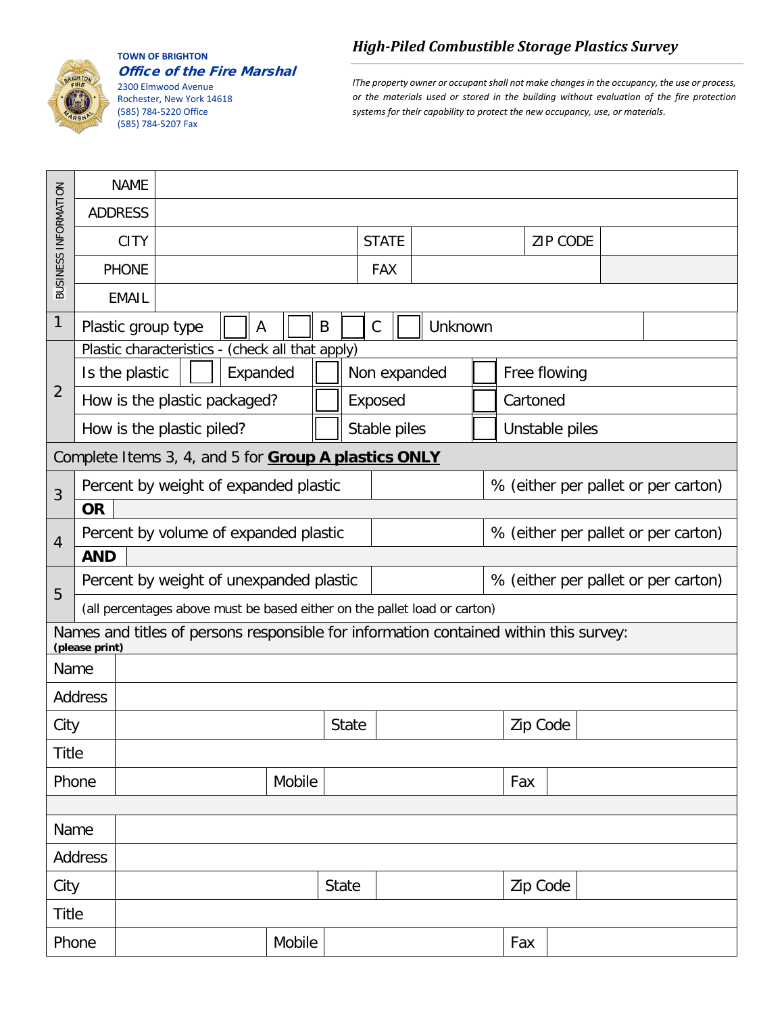

**TOWN OF BRIGHTON** Office of the Fire Marshal

2300 Elmwood Avenue Rochester, New York 14618 (585) 784-5220 Office (585) 784-5207 Fax

*High-Piled Combustible Storage Plastics Survey*

*IThe property owner or occupant shall not make changes in the occupancy, the use or process, or the materials used or stored in the building without evaluation of the fire protection systems for their capability to protect the new occupancy, use, or materials.*

|                                                      |                | <b>NAME</b>                                                               |                                                                                       |  |              |  |                                     |  |                 |                                     |              |                |     |  |  |                                     |  |
|------------------------------------------------------|----------------|---------------------------------------------------------------------------|---------------------------------------------------------------------------------------|--|--------------|--|-------------------------------------|--|-----------------|-------------------------------------|--------------|----------------|-----|--|--|-------------------------------------|--|
| BUSINESS INFORMATION                                 | <b>ADDRESS</b> |                                                                           |                                                                                       |  |              |  |                                     |  |                 |                                     |              |                |     |  |  |                                     |  |
|                                                      |                | <b>CITY</b>                                                               |                                                                                       |  | <b>STATE</b> |  |                                     |  | <b>ZIP CODE</b> |                                     |              |                |     |  |  |                                     |  |
|                                                      |                | <b>PHONE</b>                                                              |                                                                                       |  |              |  | <b>FAX</b>                          |  |                 |                                     |              |                |     |  |  |                                     |  |
|                                                      |                | <b>EMAIL</b>                                                              |                                                                                       |  |              |  |                                     |  |                 |                                     |              |                |     |  |  |                                     |  |
| $\mathbf{1}$                                         |                | $\mathcal{C}$<br>Unknown<br>Plastic group type<br>B<br>A                  |                                                                                       |  |              |  |                                     |  |                 |                                     |              |                |     |  |  |                                     |  |
|                                                      |                | (check all that apply)<br>Plastic characteristics -                       |                                                                                       |  |              |  |                                     |  |                 |                                     |              |                |     |  |  |                                     |  |
|                                                      | Is the plastic |                                                                           | Expanded                                                                              |  |              |  | Non expanded                        |  |                 |                                     | Free flowing |                |     |  |  |                                     |  |
| $\overline{2}$                                       |                |                                                                           | How is the plastic packaged?                                                          |  |              |  | Exposed                             |  |                 |                                     | Cartoned     |                |     |  |  |                                     |  |
|                                                      |                | How is the plastic piled?                                                 |                                                                                       |  |              |  | Stable piles                        |  |                 |                                     |              | Unstable piles |     |  |  |                                     |  |
| Complete Items 3, 4, and 5 for Group A plastics ONLY |                |                                                                           |                                                                                       |  |              |  |                                     |  |                 |                                     |              |                |     |  |  |                                     |  |
| $\overline{3}$                                       |                |                                                                           | Percent by weight of expanded plastic                                                 |  |              |  |                                     |  |                 | % (either per pallet or per carton) |              |                |     |  |  |                                     |  |
|                                                      | <b>OR</b>      |                                                                           |                                                                                       |  |              |  |                                     |  |                 |                                     |              |                |     |  |  |                                     |  |
| $\overline{4}$                                       |                | Percent by volume of expanded plastic                                     |                                                                                       |  |              |  | % (either per pallet or per carton) |  |                 |                                     |              |                |     |  |  |                                     |  |
|                                                      | <b>AND</b>     |                                                                           |                                                                                       |  |              |  |                                     |  |                 |                                     |              |                |     |  |  |                                     |  |
| 5                                                    |                | Percent by weight of unexpanded plastic                                   |                                                                                       |  |              |  |                                     |  |                 |                                     |              |                |     |  |  | % (either per pallet or per carton) |  |
|                                                      |                | (all percentages above must be based either on the pallet load or carton) |                                                                                       |  |              |  |                                     |  |                 |                                     |              |                |     |  |  |                                     |  |
|                                                      | (please print) |                                                                           | Names and titles of persons responsible for information contained within this survey: |  |              |  |                                     |  |                 |                                     |              |                |     |  |  |                                     |  |
| Name                                                 |                |                                                                           |                                                                                       |  |              |  |                                     |  |                 |                                     |              |                |     |  |  |                                     |  |
|                                                      | Address        |                                                                           |                                                                                       |  |              |  |                                     |  |                 |                                     |              |                |     |  |  |                                     |  |
| City                                                 |                |                                                                           |                                                                                       |  | <b>State</b> |  |                                     |  |                 |                                     | Zip Code     |                |     |  |  |                                     |  |
| <b>Title</b>                                         |                |                                                                           |                                                                                       |  |              |  |                                     |  |                 |                                     |              |                |     |  |  |                                     |  |
| Phone                                                |                |                                                                           | Mobile                                                                                |  |              |  |                                     |  |                 |                                     |              | Fax            |     |  |  |                                     |  |
|                                                      |                |                                                                           |                                                                                       |  |              |  |                                     |  |                 |                                     |              |                |     |  |  |                                     |  |
| Name                                                 |                |                                                                           |                                                                                       |  |              |  |                                     |  |                 |                                     |              |                |     |  |  |                                     |  |
| Address                                              |                |                                                                           |                                                                                       |  |              |  |                                     |  |                 |                                     |              |                |     |  |  |                                     |  |
| City                                                 |                |                                                                           |                                                                                       |  | <b>State</b> |  | Zip Code                            |  |                 |                                     |              |                |     |  |  |                                     |  |
| <b>Title</b>                                         |                |                                                                           |                                                                                       |  |              |  |                                     |  |                 |                                     |              |                |     |  |  |                                     |  |
| Phone                                                |                |                                                                           | Mobile                                                                                |  |              |  |                                     |  |                 |                                     |              |                | Fax |  |  |                                     |  |